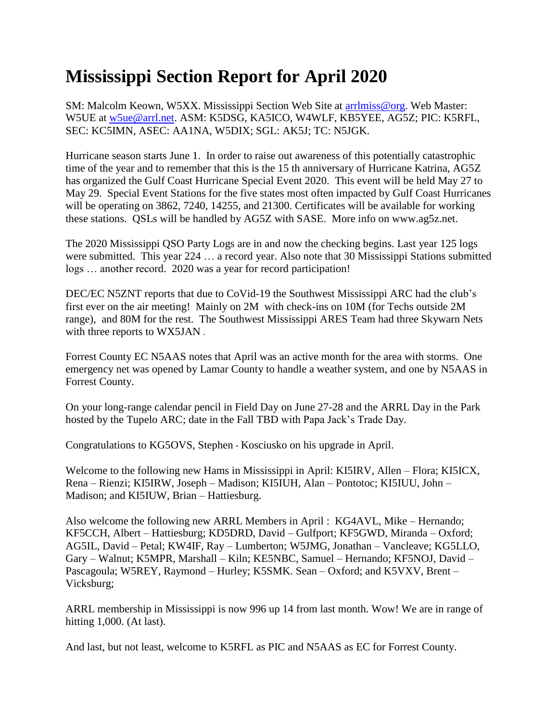## **Mississippi Section Report for April 2020**

SM: Malcolm Keown, W5XX. Mississippi Section Web Site at [arrlmiss@org.](mailto:arrlmiss@org) Web Master: W5UE at [w5ue@arrl.net.](mailto:w5ue@arrl.net) ASM: K5DSG, KA5ICO, W4WLF, KB5YEE, AG5Z; PIC: K5RFL, SEC: KC5IMN, ASEC: AA1NA, W5DIX; SGL: AK5J; TC: N5JGK.

Hurricane season starts June 1. In order to raise out awareness of this potentially catastrophic time of the year and to remember that this is the 15 th anniversary of Hurricane Katrina, AG5Z has organized the Gulf Coast Hurricane Special Event 2020. This event will be held May 27 to May 29. Special Event Stations for the five states most often impacted by Gulf Coast Hurricanes will be operating on 3862, 7240, 14255, and 21300. Certificates will be available for working these stations. QSLs will be handled by AG5Z with SASE. More info on www.ag5z.net.

The 2020 Mississippi QSO Party Logs are in and now the checking begins. Last year 125 logs were submitted. This year 224 … a record year. Also note that 30 Mississippi Stations submitted logs … another record. 2020 was a year for record participation!

DEC/EC N5ZNT reports that due to CoVid-19 the Southwest Mississippi ARC had the club's first ever on the air meeting! Mainly on 2M with check-ins on 10M (for Techs outside 2M range), and 80M for the rest. The Southwest Mississippi ARES Team had three Skywarn Nets with three reports to WX5JAN .

Forrest County EC N5AAS notes that April was an active month for the area with storms. One emergency net was opened by Lamar County to handle a weather system, and one by N5AAS in Forrest County.

On your long-range calendar pencil in Field Day on June 27-28 and the ARRL Day in the Park hosted by the Tupelo ARC; date in the Fall TBD with Papa Jack's Trade Day.

Congratulations to KG5OVS, Stephen - Kosciusko on his upgrade in April.

Welcome to the following new Hams in Mississippi in April: KI5IRV, Allen – Flora; KI5ICX, Rena – Rienzi; KI5IRW, Joseph – Madison; KI5IUH, Alan – Pontotoc; KI5IUU, John – Madison; and KI5IUW, Brian – Hattiesburg.

Also welcome the following new ARRL Members in April : KG4AVL, Mike – Hernando; KF5CCH, Albert – Hattiesburg; KD5DRD, David – Gulfport; KF5GWD, Miranda – Oxford; AG5IL, David – Petal; KW4IF, Ray – Lumberton; W5JMG, Jonathan – Vancleave; KG5LLO, Gary – Walnut; K5MPR, Marshall – Kiln; KE5NBC, Samuel – Hernando; KF5NOJ, David – Pascagoula; W5REY, Raymond – Hurley; K5SMK. Sean – Oxford; and K5VXV, Brent – Vicksburg;

ARRL membership in Mississippi is now 996 up 14 from last month. Wow! We are in range of hitting 1,000. (At last).

And last, but not least, welcome to K5RFL as PIC and N5AAS as EC for Forrest County.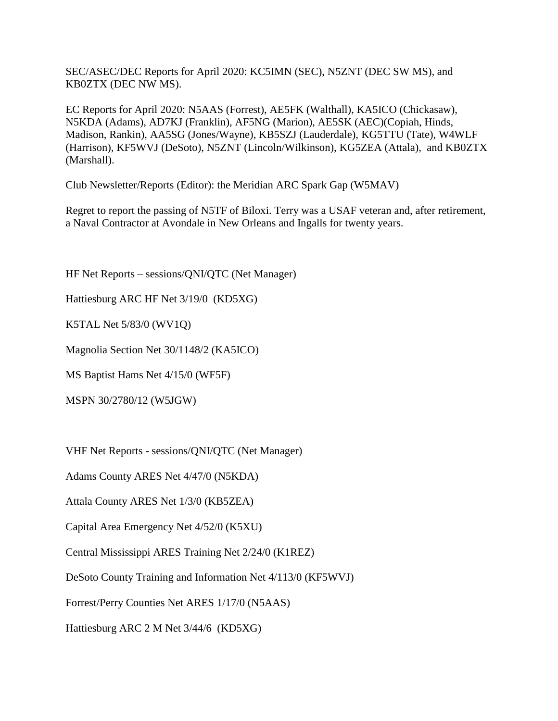SEC/ASEC/DEC Reports for April 2020: KC5IMN (SEC), N5ZNT (DEC SW MS), and KB0ZTX (DEC NW MS).

EC Reports for April 2020: N5AAS (Forrest), AE5FK (Walthall), KA5ICO (Chickasaw), N5KDA (Adams), AD7KJ (Franklin), AF5NG (Marion), AE5SK (AEC)(Copiah, Hinds, Madison, Rankin), AA5SG (Jones/Wayne), KB5SZJ (Lauderdale), KG5TTU (Tate), W4WLF (Harrison), KF5WVJ (DeSoto), N5ZNT (Lincoln/Wilkinson), KG5ZEA (Attala), and KB0ZTX (Marshall).

Club Newsletter/Reports (Editor): the Meridian ARC Spark Gap (W5MAV)

Regret to report the passing of N5TF of Biloxi. Terry was a USAF veteran and, after retirement, a Naval Contractor at Avondale in New Orleans and Ingalls for twenty years.

HF Net Reports – sessions/QNI/QTC (Net Manager)

Hattiesburg ARC HF Net 3/19/0 (KD5XG)

K5TAL Net 5/83/0 (WV1Q)

Magnolia Section Net 30/1148/2 (KA5ICO)

MS Baptist Hams Net 4/15/0 (WF5F)

MSPN 30/2780/12 (W5JGW)

VHF Net Reports - sessions/QNI/QTC (Net Manager)

Adams County ARES Net 4/47/0 (N5KDA)

Attala County ARES Net 1/3/0 (KB5ZEA)

Capital Area Emergency Net 4/52/0 (K5XU)

Central Mississippi ARES Training Net 2/24/0 (K1REZ)

DeSoto County Training and Information Net 4/113/0 (KF5WVJ)

Forrest/Perry Counties Net ARES 1/17/0 (N5AAS)

Hattiesburg ARC 2 M Net 3/44/6 (KD5XG)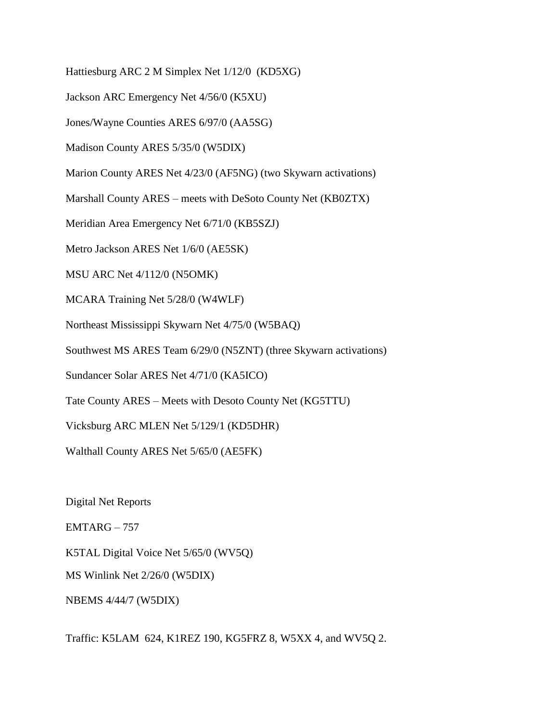Hattiesburg ARC 2 M Simplex Net 1/12/0 (KD5XG)

Jackson ARC Emergency Net 4/56/0 (K5XU)

Jones/Wayne Counties ARES 6/97/0 (AA5SG)

Madison County ARES 5/35/0 (W5DIX)

Marion County ARES Net 4/23/0 (AF5NG) (two Skywarn activations)

Marshall County ARES – meets with DeSoto County Net (KB0ZTX)

Meridian Area Emergency Net 6/71/0 (KB5SZJ)

Metro Jackson ARES Net 1/6/0 (AE5SK)

MSU ARC Net 4/112/0 (N5OMK)

MCARA Training Net 5/28/0 (W4WLF)

Northeast Mississippi Skywarn Net 4/75/0 (W5BAQ)

Southwest MS ARES Team 6/29/0 (N5ZNT) (three Skywarn activations)

Sundancer Solar ARES Net 4/71/0 (KA5ICO)

Tate County ARES – Meets with Desoto County Net (KG5TTU)

Vicksburg ARC MLEN Net 5/129/1 (KD5DHR)

Walthall County ARES Net 5/65/0 (AE5FK)

Digital Net Reports

 $EMTARG - 757$ 

K5TAL Digital Voice Net 5/65/0 (WV5Q)

MS Winlink Net 2/26/0 (W5DIX)

NBEMS 4/44/7 (W5DIX)

Traffic: K5LAM 624, K1REZ 190, KG5FRZ 8, W5XX 4, and WV5Q 2.